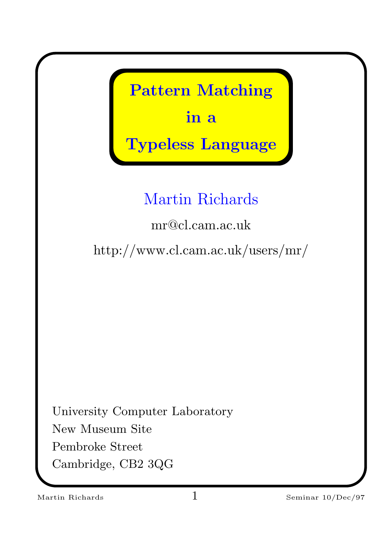Pattern Matching in a Typeless Language Martin Richards mr@cl.cam.ac.uk http://www.cl.cam.ac.uk/users/mr/ University Computer Laboratory New Museum Site Pembroke Street Cambridge, CB2 3QG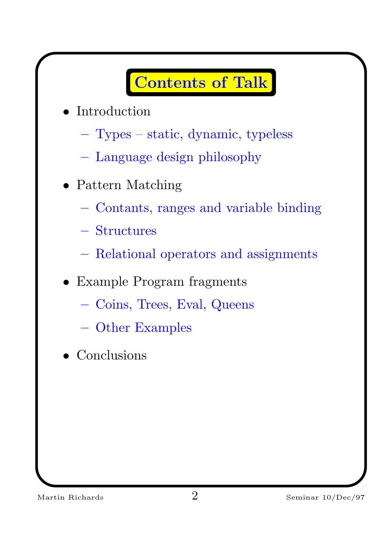#### Contents of Talk

- **Introduction** 
	- Types static, dynamic, typeless
	- Language design philosophy
- Pattern Matching
	- Contants, ranges and variable binding
	- Structures
	- Relational operators and assignments
- Example Program fragments
	- Coins, Trees, Eval, Queens
	- Other Examples
- Conclusions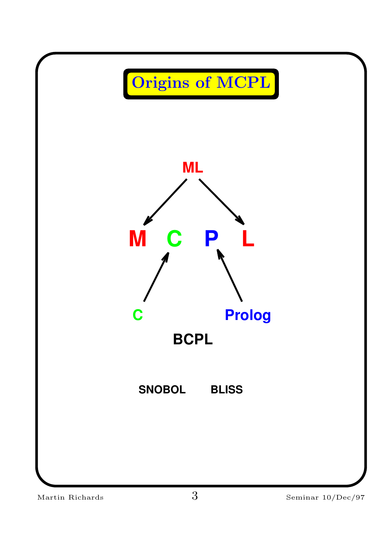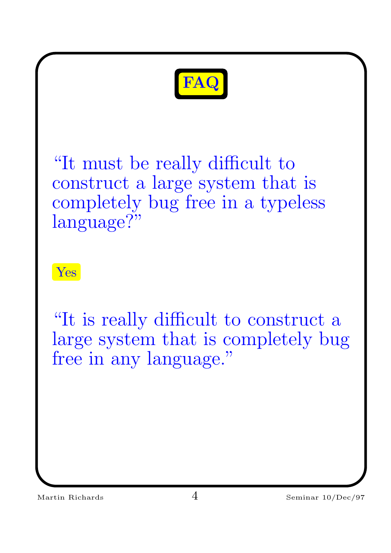

"It must be really difficult to construct a large system that is completely bug free in a typeless language?"

Yes

"It is really difficult to construct a large system that is completely bug free in any language."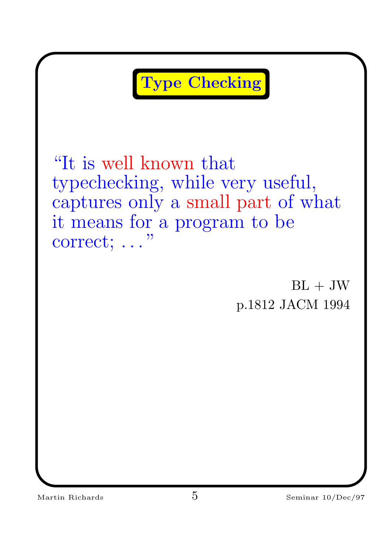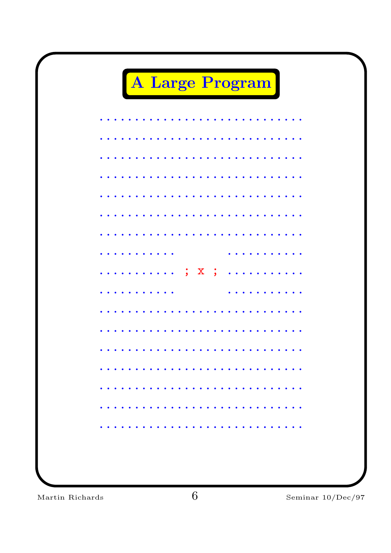

Martin Richards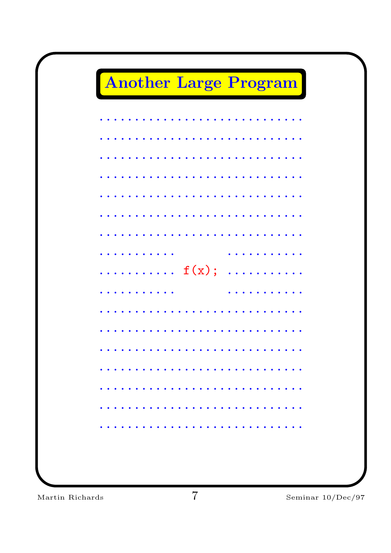## Another Large Program

|                                                        |  |  |  | . |  |                                                                     |  |  |                                                                                                                                                      |  |  |  |  |
|--------------------------------------------------------|--|--|--|---|--|---------------------------------------------------------------------|--|--|------------------------------------------------------------------------------------------------------------------------------------------------------|--|--|--|--|
|                                                        |  |  |  |   |  |                                                                     |  |  |                                                                                                                                                      |  |  |  |  |
| $\bullet$                                              |  |  |  |   |  |                                                                     |  |  |                                                                                                                                                      |  |  |  |  |
|                                                        |  |  |  | . |  |                                                                     |  |  |                                                                                                                                                      |  |  |  |  |
|                                                        |  |  |  |   |  |                                                                     |  |  | .                                                                                                                                                    |  |  |  |  |
| $\ldots \ldots \ldots \ldots$ $f(x)$ ; $\ldots \ldots$ |  |  |  |   |  |                                                                     |  |  |                                                                                                                                                      |  |  |  |  |
|                                                        |  |  |  |   |  |                                                                     |  |  | $\frac{1}{2} \left( \frac{1}{2} \right) \left( \frac{1}{2} \right) \left( \frac{1}{2} \right) \left( \frac{1}{2} \right) \left( \frac{1}{2} \right)$ |  |  |  |  |
|                                                        |  |  |  |   |  |                                                                     |  |  |                                                                                                                                                      |  |  |  |  |
|                                                        |  |  |  |   |  |                                                                     |  |  |                                                                                                                                                      |  |  |  |  |
|                                                        |  |  |  |   |  |                                                                     |  |  |                                                                                                                                                      |  |  |  |  |
|                                                        |  |  |  |   |  | $\ddot{\bullet}$ $\ddot{\bullet}$ $\ddot{\bullet}$ $\ddot{\bullet}$ |  |  |                                                                                                                                                      |  |  |  |  |
|                                                        |  |  |  |   |  |                                                                     |  |  |                                                                                                                                                      |  |  |  |  |
|                                                        |  |  |  |   |  |                                                                     |  |  |                                                                                                                                                      |  |  |  |  |
|                                                        |  |  |  |   |  |                                                                     |  |  |                                                                                                                                                      |  |  |  |  |
|                                                        |  |  |  |   |  |                                                                     |  |  |                                                                                                                                                      |  |  |  |  |
|                                                        |  |  |  |   |  |                                                                     |  |  |                                                                                                                                                      |  |  |  |  |

Martin Richards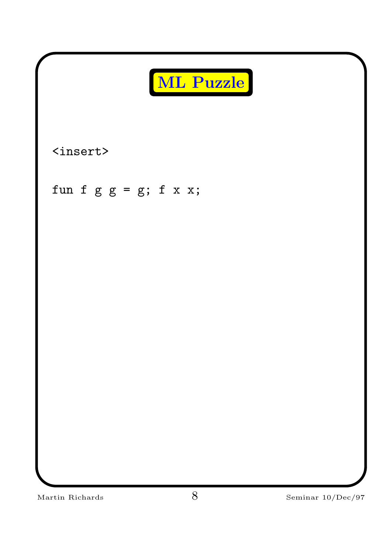| ML Puzzle                |                              |
|--------------------------|------------------------------|
| $insert$                 |                              |
| fun f $g g = g; f x x;$  |                              |
|                          |                              |
|                          |                              |
|                          |                              |
|                          |                              |
|                          |                              |
| $8\,$<br>Martin Richards | Seminar $10/\mathrm{Dec}/97$ |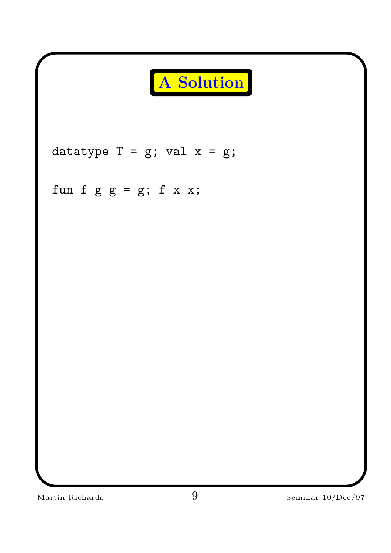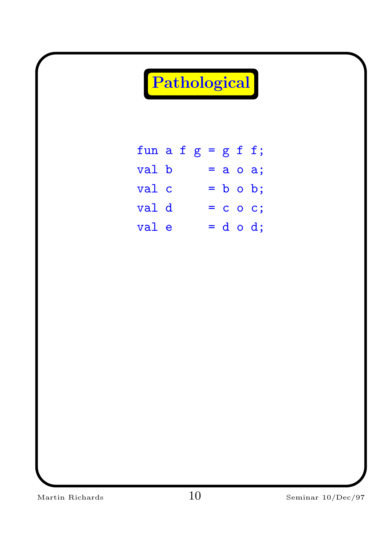| Pathological          |  |  |  |  |  |  |                |  |  |
|-----------------------|--|--|--|--|--|--|----------------|--|--|
|                       |  |  |  |  |  |  |                |  |  |
| fun a f $g = g f f$ ; |  |  |  |  |  |  |                |  |  |
| val b                 |  |  |  |  |  |  | $=$ a o a;     |  |  |
| val c                 |  |  |  |  |  |  | $= b \circ b;$ |  |  |
| val d                 |  |  |  |  |  |  | $= c$ o c;     |  |  |
| val e                 |  |  |  |  |  |  | $= d \circ d;$ |  |  |
|                       |  |  |  |  |  |  |                |  |  |
|                       |  |  |  |  |  |  |                |  |  |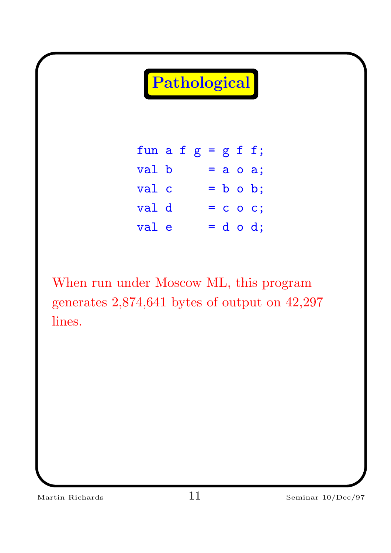Pathological

| fun a f $g = g f f$ ; |  |  |  |                |
|-----------------------|--|--|--|----------------|
| val b                 |  |  |  | $= a \circ a;$ |
| val c                 |  |  |  | $= b \circ b;$ |
| val d                 |  |  |  | $= c$ o c;     |
| val e                 |  |  |  | $= d o d;$     |

When run under Moscow ML, this program generates 2,874,641 bytes of output on 42,297 lines.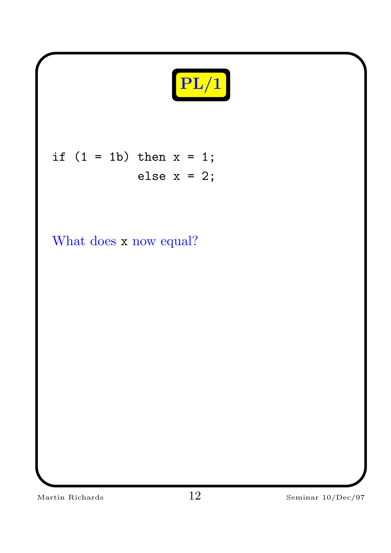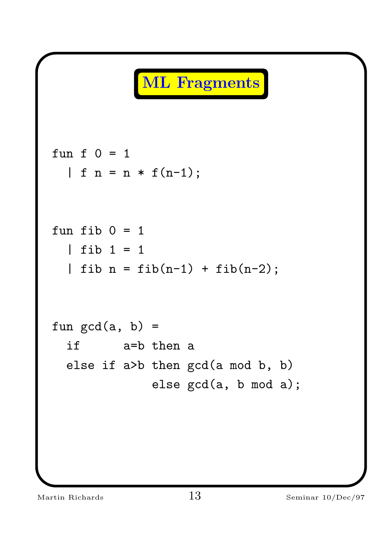## ML Fragments

fun f 0 = 1 | f n = n \* f(n-1); fun fib 0 = 1 | fib 1 = 1 | fib n = fib(n-1) + fib(n-2); fun gcd(a, b) = if a=b then a else if a>b then gcd(a mod b, b) else gcd(a, b mod a);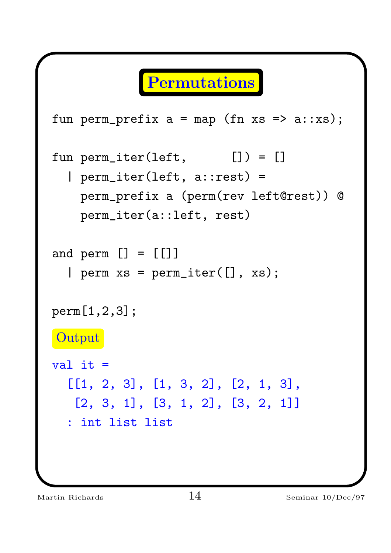### Permutations

```
fun perm_prefix a = map (fn xs =& a::xs);fun perm_iter(left, []) = []
  | perm_iter(left, a::rest) =
   perm_prefix a (perm(rev left@rest)) @
   perm_iter(a::left, rest)
and perm [] = []| perm xs = perm\_iter([], xs);perm[1,2,3];
Output
val it =[[1, 2, 3], [1, 3, 2], [2, 1, 3],
  [2, 3, 1], [3, 1, 2], [3, 2, 1]]
  : int list list
```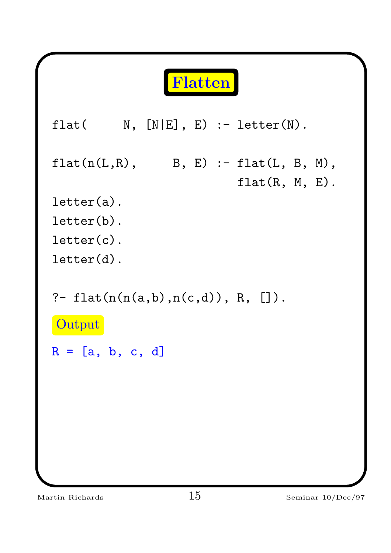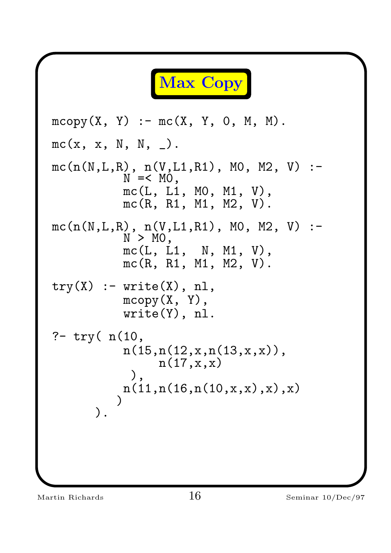Max Copy mcopy(X, Y) :- mc(X, Y, 0, M, M). mc(x, x, N, N, \_). mc(n(N,L,R), n(V,L1,R1), M0, M2, V) :- N =< M0, mc(L, L1, M0, M1, V), mc(R, R1, M1, M2, V). mc(n(N,L,R), n(V,L1,R1), M0, M2, V) :- N > M0, mc(L, L1, N, M1, V), mc(R, R1, M1, M2, V). try(X) :- write(X), nl, mcopy(X, Y), write(Y), nl. ?- try( n(10, n(15,n(12,x,n(13,x,x)), n(17,x,x) ), n(11,n(16,n(10,x,x),x),x) ) ).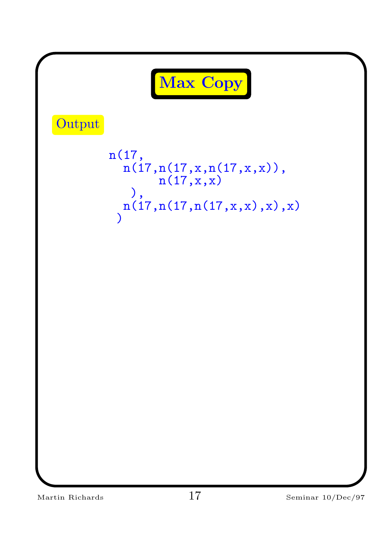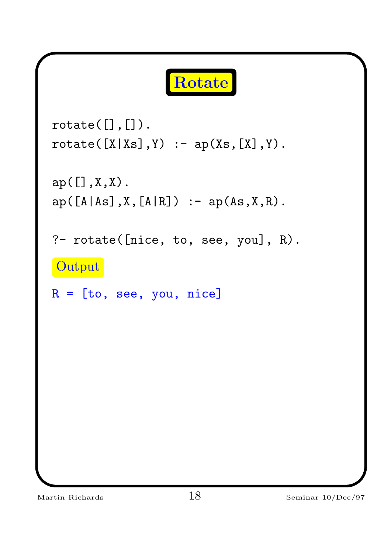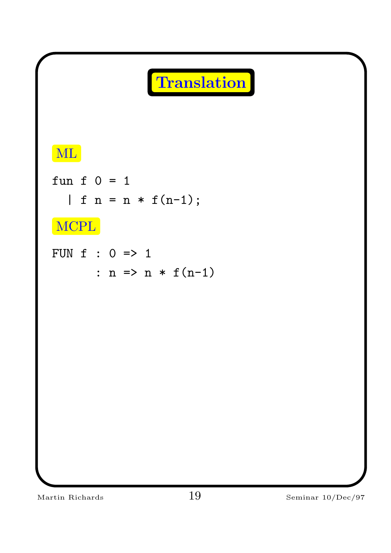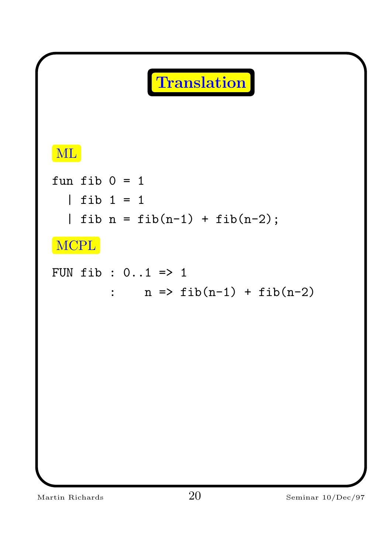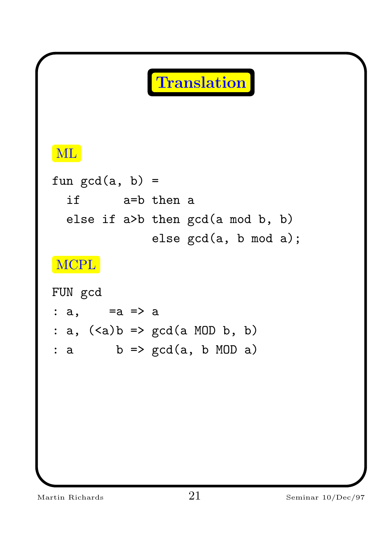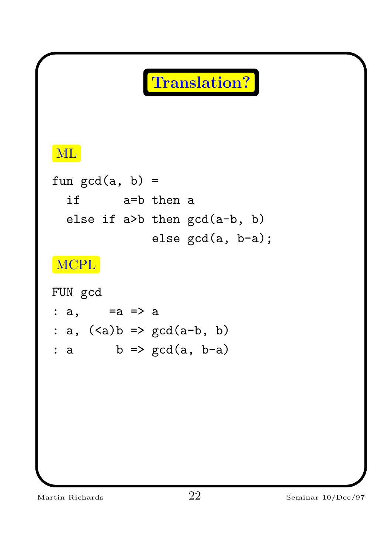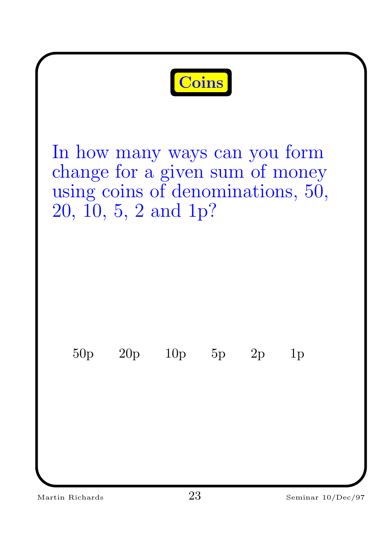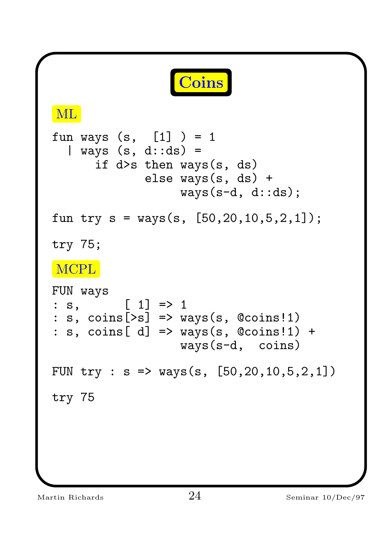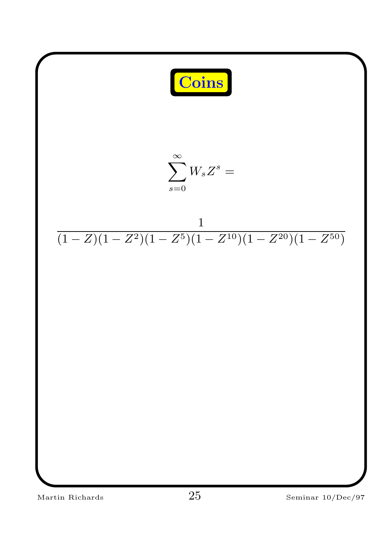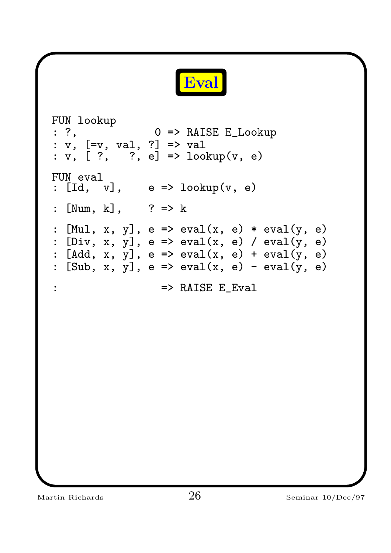

FUN lookup : ?, 0 => RAISE E\_Lookup : v, [=v, val, ?] => val : v, [ ?, ?, e] => lookup(v, e) FUN eval :  $[d, v],$  e =>  $lookup(v, e)$ : [Num, k], ? => k :  $[Mul, x, y], e \Rightarrow eval(x, e) * eval(y, e)$ :  $[Div, x, y]$ ,  $e \Rightarrow eval(x, e)$  /  $eval(y, e)$ :  $[Add, x, y]$ ,  $e \Rightarrow eval(x, e) + eval(y, e)$ :  $[Sub, x, y]$ ,  $e \Rightarrow eval(x, e) - eval(y, e)$ : => RAISE E\_Eval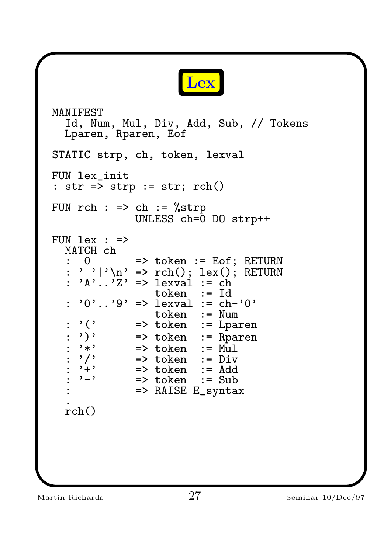

```
MANIFEST
   Id, Num, Mul, Div, Add, Sub, // Tokens
   Lparen, Rparen, Eof
STATIC strp, ch, token, lexval
FUN lex_init
: str => strp := str; rch()
FUN rch : \Rightarrow ch : = %strp
                     UNLESS ch=0 DO strp++
FUN lex : =&>MATCH ch
      0 => token := Eof; RETURN
     ' '|'\n' => rch(); lex(); RETURN
   \therefore 'A'..'\overline{Z}' => lexval := ch
                         token := Id
   : '0'..'9' => lexval := ch-'0'
                         token := Num
   : '(' => token := Lparen
     ')' \Rightarrow token := Rparen<br>'*' \Rightarrow token := Mul
     \begin{array}{ccc}\n x, & =& \text{token} & := \text{Mul} \\
 y' & =& \text{token} & := \text{Div}\n \end{array}\begin{array}{ccc} \text{?}/\text{?} & \text{?} \\ \text{?} & \text{?} \\ \text{?} & \text{?} \end{array}\begin{array}{ccc}\n i + i & = > \text{token} & := \text{Add} \\
 i - i & = > \text{token} & := \text{Sub}\n\end{array}\Rightarrow token := Sub
                   : => RAISE E_syntax
   .
   rch()
```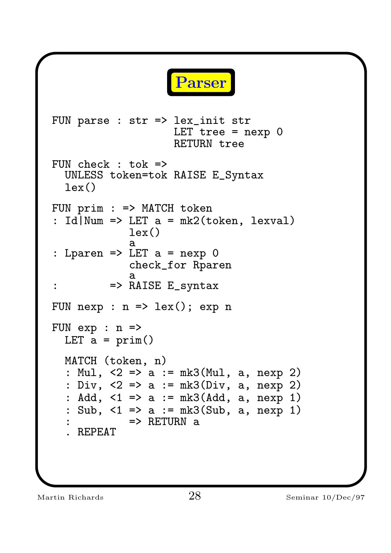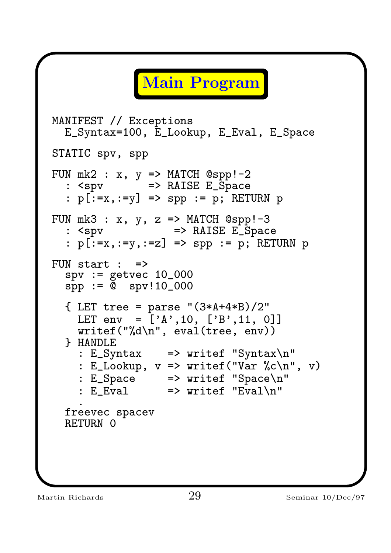# Main Program

```
MANIFEST // Exceptions
  E_Syntax=100, E_Lookup, E_Eval, E_Space
STATIC spv, spp
FUN mk2 : x, y \implies MATCH \text{ Gspp!--2}: <spv => RAISE E_Space
  : p[:=x,:=y] => spp := p; RETURN p
FUN mk3 : x, y, z \implies MATCH \text{ Qspp!--3}: <spv => RAISE E_Space
  : p[:=x,:=y,:=z] => spp := p; RETURN p
FUN start : \Rightarrowspv := getvec 10_000spp := 0 spv!10_000{ LET tree = parse "(3*A+4*B)/2"
    LET env = \begin{bmatrix} 'A', 10, [\'B', 11, 0] \end{bmatrix}writef("%d\nu", eval(tree, env))} HANDLE
    : E_Syntax => writef "Syntax\n"
    : E_Lookup, v \implies writef("Var %c\n", v)
    : E_Space => writef "Space\n"
    : E<sup>v</sup>al \Rightarrow writef "Eval\n"
    .
  freevec spacev
  RETURN 0
```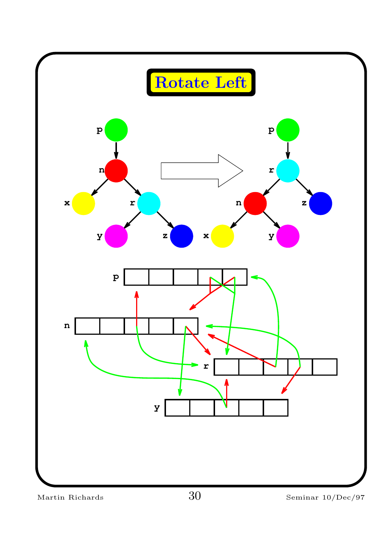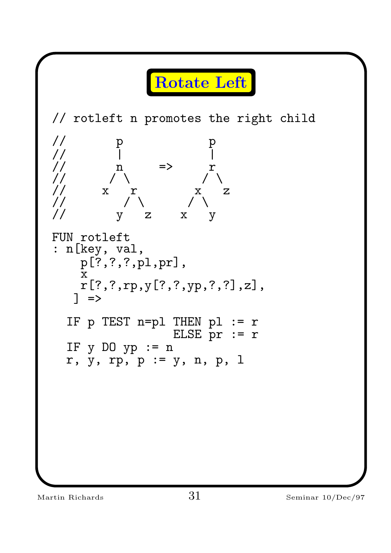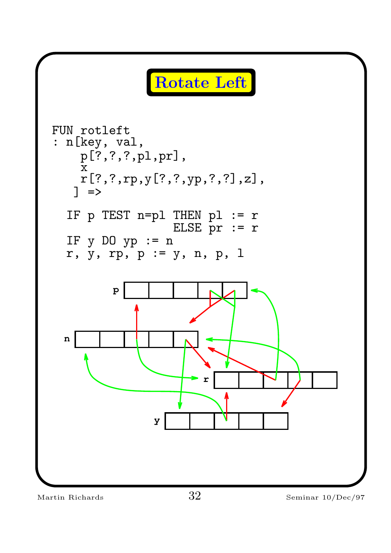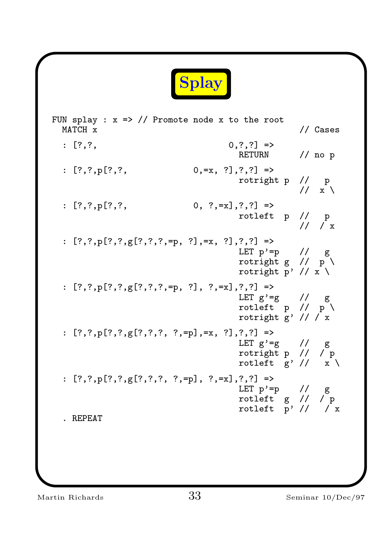

FUN splay :  $x \Rightarrow$  // Promote node x to the root MATCH x  $\frac{1}{2}$  Cases :  $[?,?,]$  => RETURN // no p :  $[?,?,p[?,?,$  0,=x,  $?,?,?]$  => rotright p // p  $11 x \lambda$ :  $[?,?,p[?,?,$  0,  $?,=x],?,?)$  => rotleft p // p  $//$   $\frac{1}{x}$ :  $[?,?,p[?,?,g[?,?,?,z,=p, ?],=x, ?],?,?)$  => LET  $p' = p$  // g rotright g  $// p \$ rotright p' //  $x \backslash$ :  $[?,?,p[?,?,g[?,?,?,z]=p, ?], ?,-x],?,?)$  => LET  $g' = g$  //  $g$ rotleft  $p$  //  $p \n\lambda$ rotright  $g'$  //  $\overline{X}$ :  $[?,?,p[?,?,g[?,?,?,?,?,P,p],=x, ?],?,?]$  => LET  $g' = g$  //  $g$ rotright p // / p rotleft  $g'$  //  $x'$ :  $[?,?,p[?,?,g[?,?,?,?,?,=p], ?,=x],?,?)$  => LET  $p' = p$  // g rotleft g // / p rotleft  $\overline{p'}$  //  $\overline{X}$ . REPEAT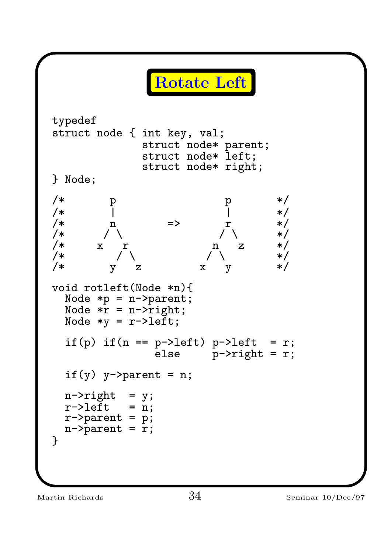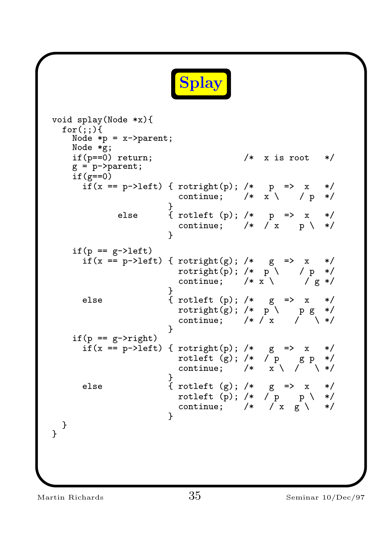

```
void splay(Node *x){
  for(:,;)Node *p = x->parent;Node *g;
    if(p==0) return; /* x is root */g = p->parent;
    if(g==0)if(x == p->left) { rotright(p); /* p \Rightarrow x \ne/
                            continue; /* x \land y \neq x}
              else \{ \text{rotleft (p);} \ / \ast \} \quad p \implies x \quad \ast/continue; /* /x p \ x}
    if(p == g-)leftif(x == p->left) { rotright(g); /* g => x */
                            rotright(p); /* p \nightharpoonup p / p */
                            continue; /* x \lor /g */
                          }
      else \{ \text{rotleft (p);} \neq g \implies x * \neq 0 \}\texttt{rotright(g)}; /* \, \texttt{p} \, \setminus \, \, \texttt{p} \, \texttt{g} \, \, \texttt{*} / \,continue; /* / x / \searrow /
                          }
    if(p == g->right)if(x == p->left) { rotright(p); /* g => x */
                            rotleft (g); /* / p g p */
                            continue; /* \bar{x} \setminus / \bar{x} \setminus */}
      else \{ \text{rotleft (g);} \ / \ast \quad g \implies x \quad \ast/rotleft (p); /* / p p \ \  */
                            continue; /* \bar{x} = \bar{y} + \bar{z}}
 }
}
```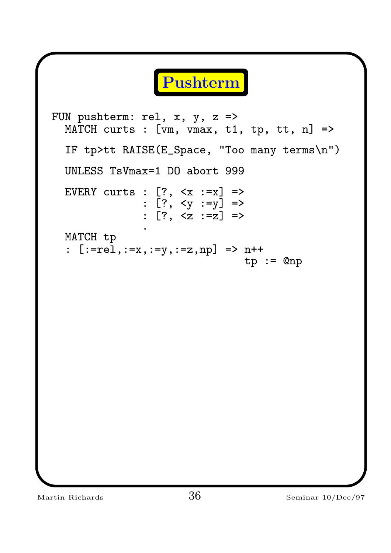Pushterm FUN pushterm: rel, x, y, z => MATCH curts : [vm, vmax, t1, tp, tt, n] => IF tp>tt RAISE(E\_Space, "Too many terms\n") UNLESS TsVmax=1 DO abort 999 EVERY curts : [?, <x :=x] => : [?, <y :=y] => : [?, <z :=z] => . MATCH tp : [:=rel,:=x,:=y,:=z,np] => n++ tp := @np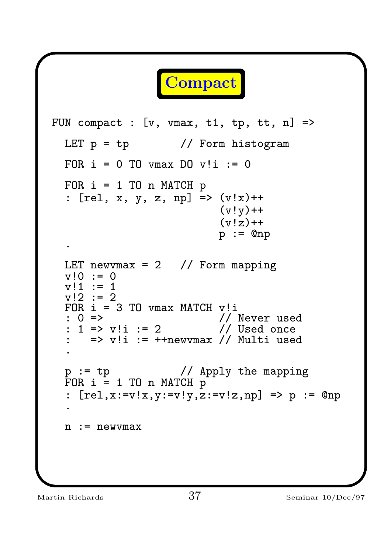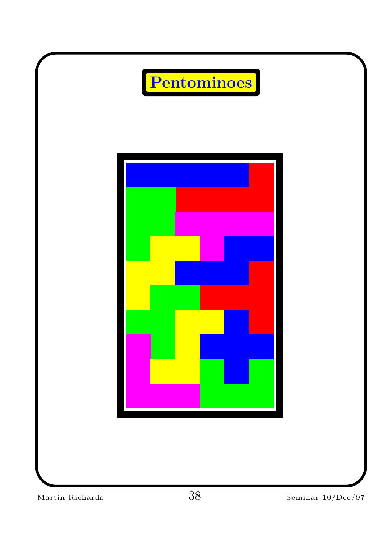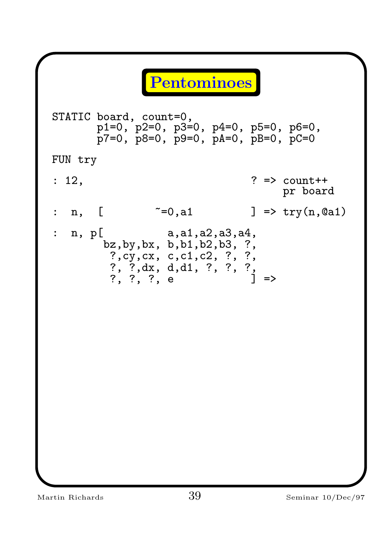#### Pentominoes

STATIC board, count=0, p1=0, p2=0, p3=0, p4=0, p5=0, p6=0,  $\bar{p}$ 7=0,  $\bar{p}$ 8=0,  $\bar{p}$ 9=0,  $\bar{p}$ A=0,  $\bar{p}$ B=0,  $\bar{p}$ C=0 FUN try : 12, ? => count++ pr board : n,  $[$   $z=0$ , a1  $]$  => try(n, 0a1) :  $n, p[$  a,a1,a2,a3,a4, bz,by,bx, b,b1,b2,b3, ?, ?,cy,cx, c,c1,c2, ?, ?, ?, ?, dx, d, d1, ?, ?, ?, ?, ?, ?, e ] =>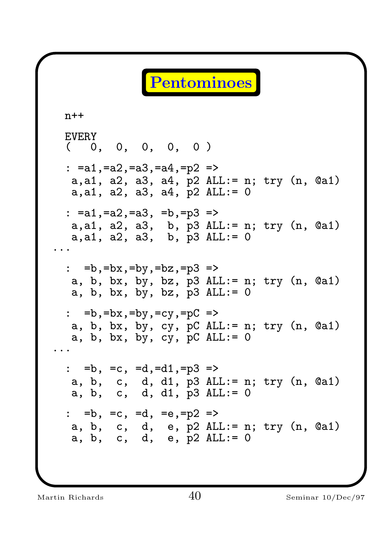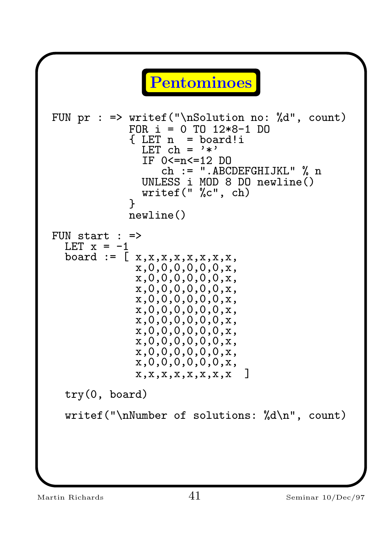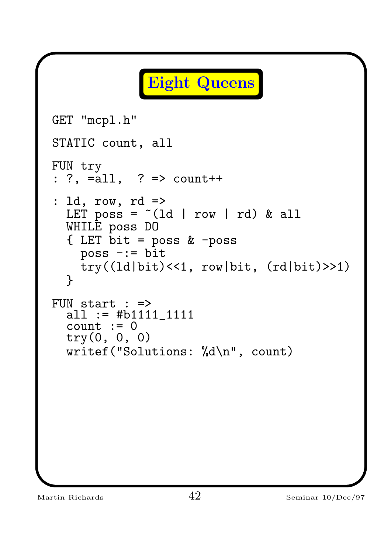```
Eight Queens
GET "mcpl.h"
STATIC count, all
FUN try
: ?, =all, ? => count++
: ld, row, rd =>
 LET poss = ^{\sim}(1d | row | rd) & all
  WHILE poss DO
  \{ LET bit = poss & -poss
    poss -:= bit
   try((ld|bit)<<1, row|bit, (rd|bit)>>1)
  }
FUN start : =>
  all := #b1111_1111
  count := 0try(0, 0, 0)
  writef("Solutions: %d\n", count)
```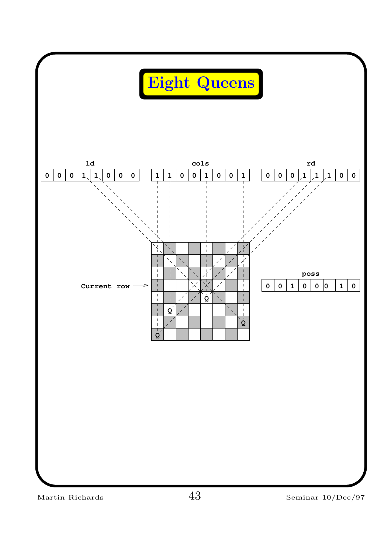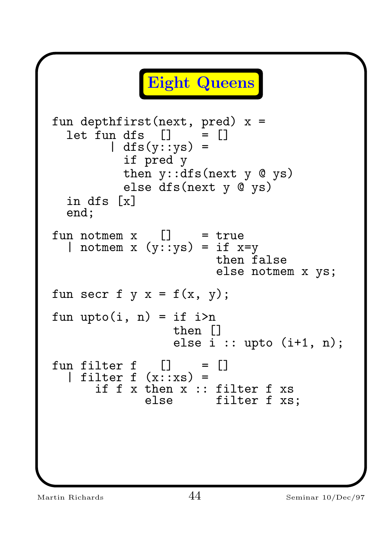```
Eight Queens
fun depthfirst(next, pred) x =
  let \, fun \, dfs \, [ ] \, = [ ]\int dfs(y:sys) =if pred y
           then y::dfs(next y @ ys)
           else dfs(next y @ ys)
  in dfs [x]
  end;
fun notmem x \cap = true
  | notmem x (y:sys) = \text{if } x=ythen false
                         else notmem x ys;
fun secr f y x = f(x, y);
fun upto(i, n) = if i > nthen []
                  else i :: upto (i+1, n);
fun filter f [] = []filter f (x::xs) =if f x then x :: filter f xs<br>else filter f xs
                         filter f xs;
```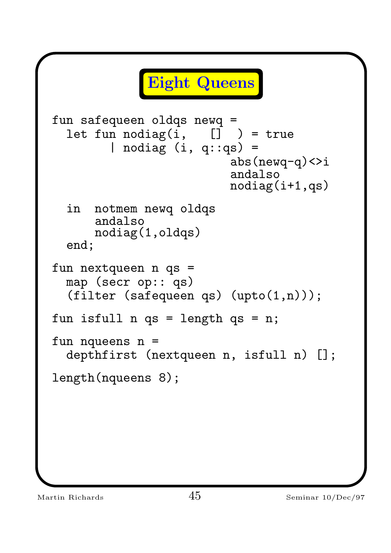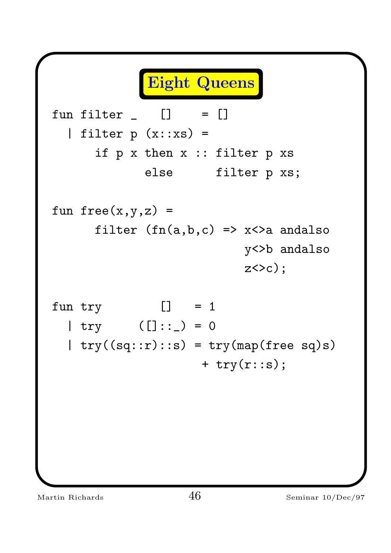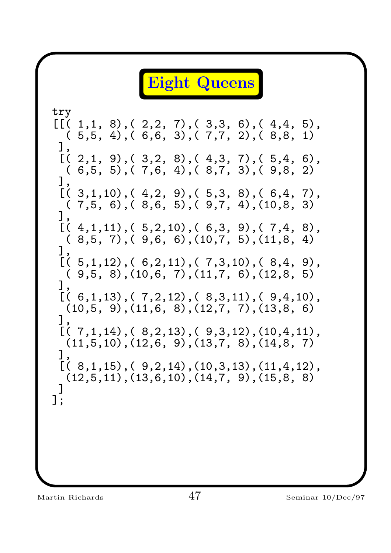Eight Queens try  $[[( 1,1, 8), ( 2,2, 7), ( 3,3, 6), ( 4,4, 5),$  $(5,5, 4), (6,6, 3), (7,7, 2), (8,8, 1)$ ],  $[(2,1, 9), (3,2, 8), (4,3, 7), (5,4, 6),$  $(6,5, 5), (7,6, 4), (8,7, 3), (9,8, 2)$ ],  $[(3,1,10), (4,2, 9), (5,3, 8), (6,4, 7),$  $( 7, 5, 6)$ ,  $( 8, 6, 5)$ ,  $( 9, 7, 4)$ ,  $(10, 8, 3)$ ],  $[(4,1,11), (5,2,10), (6,3, 9), (7,4, 8),$  $(8,5, 7), (9,6, 6), (10,7, 5), (11,8, 4)$ ],  $[(5,1,12), (6,2,11), (7,3,10), (8,4, 9),$  $( 9, 5, 8)$ ,  $(10, 6, 7)$ ,  $(11, 7, 6)$ ,  $(12, 8, 5)$ ],  $[(6,1,13), (7,2,12), (8,3,11), (9,4,10),$ (10,5, 9),(11,6, 8),(12,7, 7),(13,8, 6) ],  $[(7,1,14), (8,2,13), (9,3,12), (10,4,11),$  $(11, 5, 10), (12, 6, 9), (13, 7, 8), (14, 8, 7)$ ],  $[( 8, 1, 15), ( 9, 2, 14), (10, 3, 13), (11, 4, 12),$  $(12,5,11), (13,6,10), (14,7, 9), (15,8, 8)$ ] ];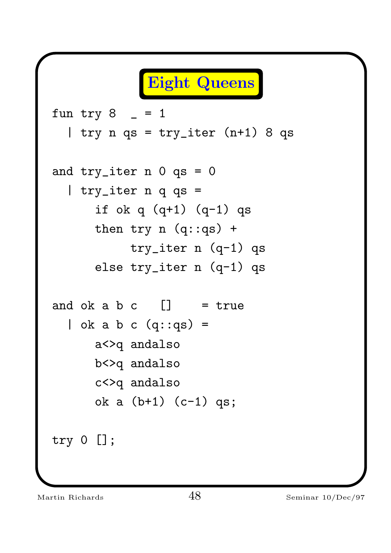```
Eight Queens
fun try 8 - 1| try n qs = try_iter (n+1) 8 qs
and try\_iter n 0 qs = 0| try_iter n q qs =
      if ok q (q+1) (q-1) qs
      then try n (q::qs) +
           try_iter n (q-1) qs
      else try_iter n (q-1) qs
and ok a b c [] = true
  \vert ok a b c (q::qs) =
      a<>q andalso
      b<>q andalso
      c<>q andalso
      ok a (b+1) (c-1) qs;
try 0 [];
```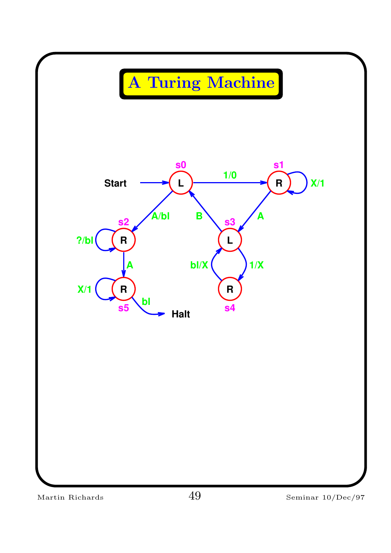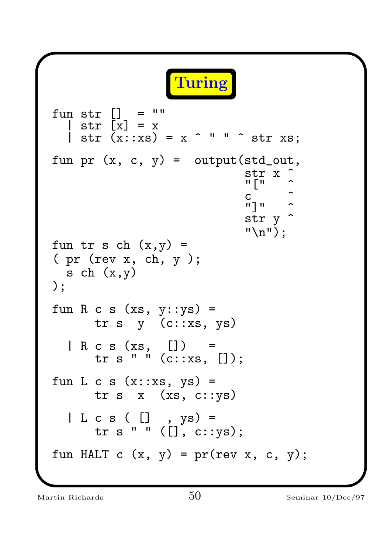Turing fun str [] = "" | str [x] = x | str (x::xs) = x ^ " " ^ str xs; fun pr (x, c, y) = output(std\_out, str x ^ "[" ^ c ^ "]" ^ str y ^ "\n"); fun tr s ch (x,y) = ( pr (rev x, ch, y ); s ch (x,y) ); fun R c s (xs, y::ys) = tr s y (c::xs, ys) | R c s (xs, []) = tr s " " (c::xs, []); fun L c s (x::xs, ys) = tr s x (xs, c::ys) | L c s ( [] , ys) = tr s " " ([], c::ys); fun HALT c (x, y) = pr(rev x, c, y);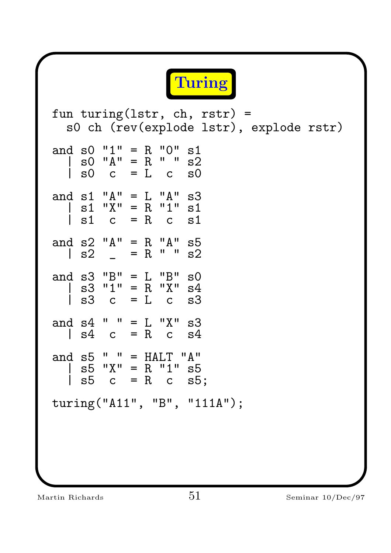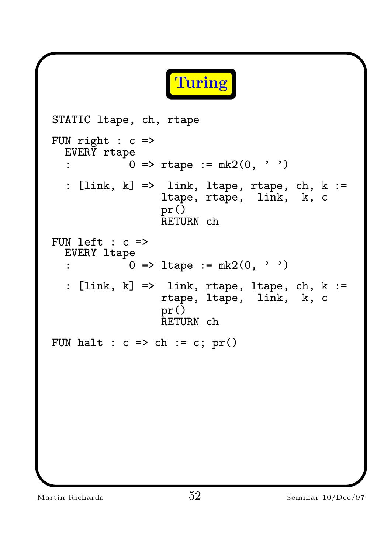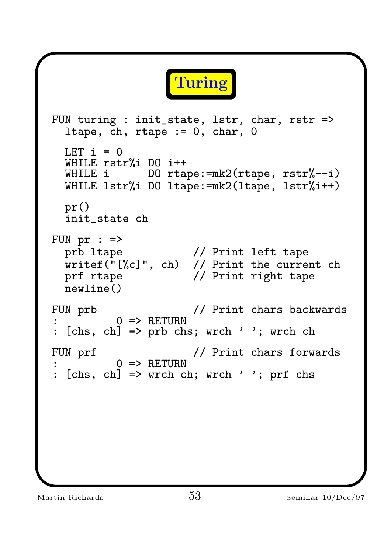

```
FUN turing : init_state, lstr, char, rstr =>
  ltape, ch, rtape := 0, char, 0LET i = 0WHILE rstr%i DO i++<br>WHILE i DO rta
               DO rtape:=mk2(rtape, rstr%--i)
  WHILE lstr%i DO ltape:=mk2(ltape, lstr%i++)
  pr()
  init_state ch
FUN pr : =>
  prb ltape // Print left tape
  writef("[%c]", ch) // Print the current ch
  prf rtape \frac{1}{2} // Print right tape
  newline()
FUN prb \frac{1}{2} Print chars backwards
          0 \Rightarrow RETURN
: [chs, ch] => prb chs; wrch ' '; wrch ch
FUN prf \frac{1}{2} // Print chars forwards
          0 \Rightarrow RETURN
: [chs, ch] => wrch ch; wrch ' '; prf chs
```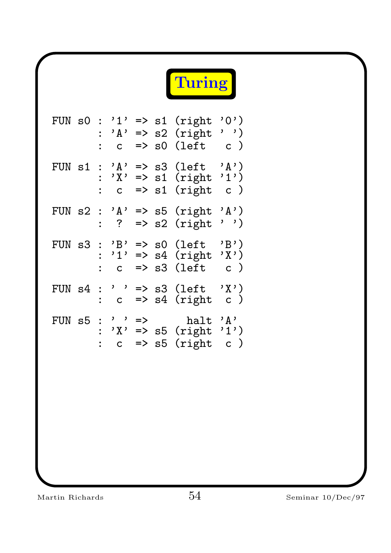

| FUN s0 | $\ddot{\cdot}$ | ,1,<br>$, A, \cdot$<br>$\overline{C}$                                                                                                                                                                                                                                              |               | $\Rightarrow$ s1                     | (right)<br>$\Rightarrow$ s2 (right<br>$\Rightarrow$ s0 (left | '0')<br>$\mathsf{C}$ )                                |
|--------|----------------|------------------------------------------------------------------------------------------------------------------------------------------------------------------------------------------------------------------------------------------------------------------------------------|---------------|--------------------------------------|--------------------------------------------------------------|-------------------------------------------------------|
| FUN s1 | $\ddot{\cdot}$ | $, A, \cdot$<br>$, \chi$ ,<br>$\overline{C}$                                                                                                                                                                                                                                       |               | $\Rightarrow$ s1<br>$\Rightarrow$ s1 | $\Rightarrow$ s3 (left<br>(right)<br>(right                  | , A,<br>(1)<br>$\begin{pmatrix} 1 \\ 0 \end{pmatrix}$ |
| FUN s2 | $\ddot{\cdot}$ | , A,<br>$\ddot{\cdot}$                                                                                                                                                                                                                                                             |               |                                      | $\Rightarrow$ s5 (right<br>$\Rightarrow$ s2 (right           | , A,<br>$\,$ , $\,$ , $\,$                            |
| FUN s3 | $\ddot{\cdot}$ | $'B' \Rightarrow s0$<br>$\overline{C}$                                                                                                                                                                                                                                             |               |                                      | (left<br>$'1'$ => s4 (right<br>=> s3 (left                   | $B$ ' )<br>$\mathbf{y}$ )<br>c )                      |
| FUN s4 | $\ddot{\cdot}$ | $\,$ , $\,$ , $\,$ , $\,$ , $\,$ , $\,$ , $\,$ , $\,$ , $\,$ , $\,$ , $\,$ , $\,$ , $\,$ , $\,$ , $\,$ , $\,$ , $\,$ , $\,$ , $\,$ , $\,$ , $\,$ , $\,$ , $\,$ , $\,$ , $\,$ , $\,$ , $\,$ , $\,$ , $\,$ , $\,$ , $\,$ , $\,$ , $\,$ , $\,$ , $\,$ , $\,$ , $\,$ ,<br>$\mathsf{C}$ |               | $\Rightarrow$ s4                     | $\Rightarrow$ s3 (left<br>(right                             | $\mathbf{y}$<br>$c$ )                                 |
| FUN s5 | $\ddot{\cdot}$ | $\qquad \qquad$<br>$\mathsf{C}$                                                                                                                                                                                                                                                    | $\Rightarrow$ |                                      | halt<br>$'X' \implies s5$ (right)<br>$\Rightarrow$ s5 (right | $, \mathsf{A}$ ,<br>,1,)<br>$\mathsf{C}$ )            |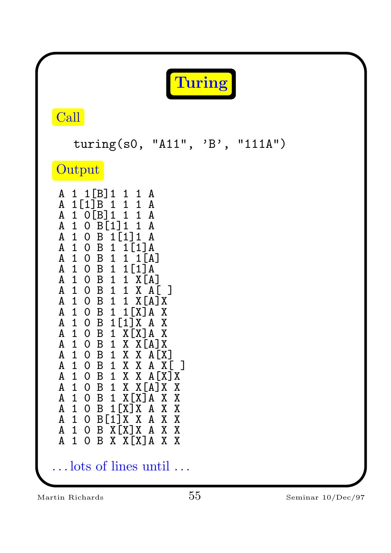|                                                                                                                                                                                                                                                                                                                                                                                                                                                                                                                                                                                                                                                                                                                                                                                                                                                                                                                                                                                                                                                                                                     | Turing                                                                                                                                                   |  |
|-----------------------------------------------------------------------------------------------------------------------------------------------------------------------------------------------------------------------------------------------------------------------------------------------------------------------------------------------------------------------------------------------------------------------------------------------------------------------------------------------------------------------------------------------------------------------------------------------------------------------------------------------------------------------------------------------------------------------------------------------------------------------------------------------------------------------------------------------------------------------------------------------------------------------------------------------------------------------------------------------------------------------------------------------------------------------------------------------------|----------------------------------------------------------------------------------------------------------------------------------------------------------|--|
| Call                                                                                                                                                                                                                                                                                                                                                                                                                                                                                                                                                                                                                                                                                                                                                                                                                                                                                                                                                                                                                                                                                                |                                                                                                                                                          |  |
|                                                                                                                                                                                                                                                                                                                                                                                                                                                                                                                                                                                                                                                                                                                                                                                                                                                                                                                                                                                                                                                                                                     | turing(s0, "A11", 'B', "111A")                                                                                                                           |  |
| Output                                                                                                                                                                                                                                                                                                                                                                                                                                                                                                                                                                                                                                                                                                                                                                                                                                                                                                                                                                                                                                                                                              |                                                                                                                                                          |  |
| 1[B]1<br>A 1<br>1 1 A<br>$\mathbf{1}$<br>$1\quad1$<br>A<br>1[1]B<br>$\mathbf{1}$<br>O[ <b>B</b> ] <sub>1</sub><br>1<br>A<br>1<br>$\mathtt{A}$<br>$\mathbf{1}$<br>$O$ B[1]<br>$\mathbf 1$<br>1<br>A 1 0 B 1 [1] 1<br>A 1 0 B 1<br>$1$ [1] A<br>A 1 0 B 1<br>$\mathbf{1}$<br>A 1 0 B 1 1 [1] A<br>${\tt A}$<br>1 0 B<br>$\mathbf{1}$<br>1 X[A]<br>$\mathbf{1}$<br>$\mathbf A$<br>$\mathbf{1}$<br>$O$ B<br>$\mathbf{1}$<br>0 B 1<br>A<br>$\mathbf{1}$<br>$\mathbf B$<br>1<br>A<br>1<br>$\overline{O}$<br>1 <sup>T</sup><br>${\tt A}$<br>$\mathbf{B}$<br>1[1]<br>$\mathbf{1}$<br>$\overline{O}$<br>X<br>$\, {\bf B} \,$<br>$X[X]$ A<br>A<br>$\overline{0}$<br>$\mathbf{1}$<br>1<br>$O$ B 1 X X $[A]$ X<br>1<br>A<br>1 0 B 1 X X A [X]<br>A<br>A<br>0 B 1 X X<br>$\mathbf{1}$<br>A<br>$\mathbf{1}$<br>$O$ B 1 X X A $[X]$ X<br>$1$ O B 1 X X $[A]$ X X<br>A<br>A<br>$\mathbf{1}$<br>$O$ B 1 $X[X]$ A<br>A<br>$\mathbf{1}$<br>1[X]X<br>$O$ B<br>A<br>1<br>$O$ B[1] X<br>Χ<br>A<br>$O$ B $X[X]X$ A<br>1<br>B X X [X] A X X<br>$\mathbf{A}$<br>$1 \nightharpoonup$<br>$\overline{0}$<br>lots of lines until | A<br>A<br>$\mathbf{A}$<br>A<br>$1$ $[A]$<br>X A<br>1 X[A]X<br>X<br>A<br>X<br>A<br>X<br>A X L J<br>X<br>$\mathbf{X}$<br>X<br>X<br>A<br>A<br>X<br>X<br>X X |  |
| Martin Richards                                                                                                                                                                                                                                                                                                                                                                                                                                                                                                                                                                                                                                                                                                                                                                                                                                                                                                                                                                                                                                                                                     | 55<br>Seminar 10/Dec/97                                                                                                                                  |  |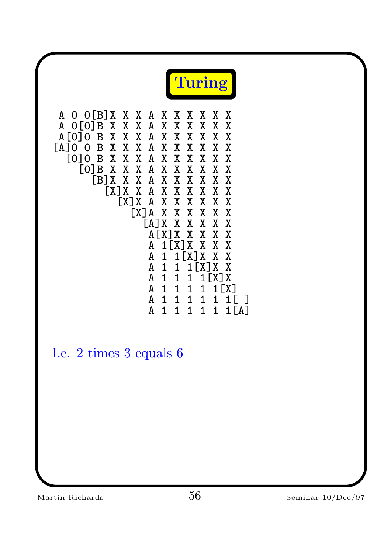

A O O[B]X X X A X X X X X X<br>A O[O]B X X X A X X X X X X A 0[0]B X X X A X X X X X X A[0]0 B X X X A X X X X X X [A]0 0 B X X X A X X X X X X [0]0 B X X X A X X X X X X [0]B X X X A X X X X X X [B]X X X A X X X X X X [X]X X A X X X X X X [X]X A X X X X X X [X]A X X X X X X [A]X X X X X X A[X]X X X X X A 1[X]X<br>A 1 1[X A 1 1[X]X X X A 1 1 1[X]X X A 1 1 1 1 [X] X<br>A 1 1 1 1 1 [X] 1 1 1 1 [X]<br>1 1 1 1 1 1 [ A 1 1 1 1 1<br>A 1 1 1 1 1 1  $1 [A]$ 

I.e. 2 times 3 equals 6